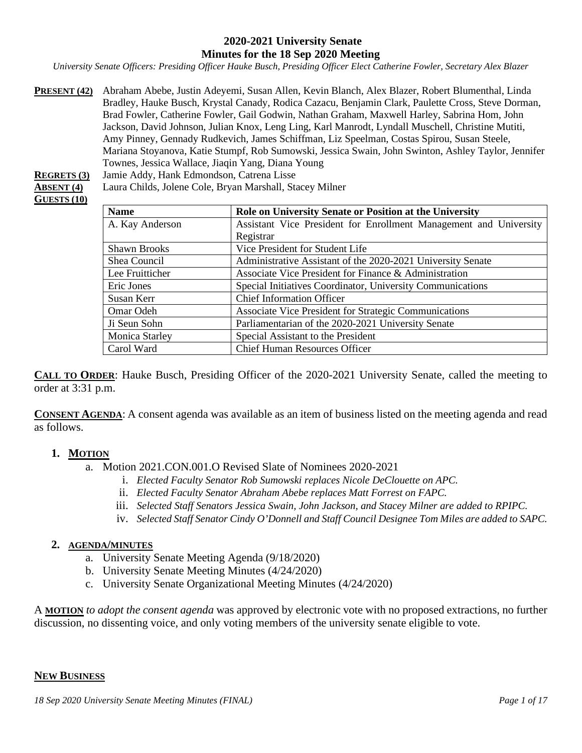#### **2020-2021 University Senate Minutes for the 18 Sep 2020 Meeting**

*University Senate Officers: Presiding Officer Hauke Busch, Presiding Officer Elect Catherine Fowler, Secretary Alex Blazer*

**PRESENT (42)** Abraham Abebe, Justin Adeyemi, Susan Allen, Kevin Blanch, Alex Blazer, Robert Blumenthal, Linda Bradley, Hauke Busch, Krystal Canady, Rodica Cazacu, Benjamin Clark, Paulette Cross, Steve Dorman, Brad Fowler, Catherine Fowler, Gail Godwin, Nathan Graham, Maxwell Harley, Sabrina Hom, John Jackson, David Johnson, Julian Knox, Leng Ling, Karl Manrodt, Lyndall Muschell, Christine Mutiti, Amy Pinney, Gennady Rudkevich, James Schiffman, Liz Speelman, Costas Spirou, Susan Steele, Mariana Stoyanova, Katie Stumpf, Rob Sumowski, Jessica Swain, John Swinton, Ashley Taylor, Jennifer Townes, Jessica Wallace, Jiaqin Yang, Diana Young

**REGRETS (3)** Jamie Addy, Hank Edmondson, Catrena Lisse

**ABSENT (4)** Laura Childs, Jolene Cole, Bryan Marshall, Stacey Milner

# **GUESTS (10)**

| <b>Name</b>           | Role on University Senate or Position at the University           |
|-----------------------|-------------------------------------------------------------------|
| A. Kay Anderson       | Assistant Vice President for Enrollment Management and University |
|                       | Registrar                                                         |
| <b>Shawn Brooks</b>   | Vice President for Student Life                                   |
| Shea Council          | Administrative Assistant of the 2020-2021 University Senate       |
| Lee Fruitticher       | Associate Vice President for Finance & Administration             |
| Eric Jones            | Special Initiatives Coordinator, University Communications        |
| Susan Kerr            | <b>Chief Information Officer</b>                                  |
| Omar Odeh             | Associate Vice President for Strategic Communications             |
| Ji Seun Sohn          | Parliamentarian of the 2020-2021 University Senate                |
| <b>Monica Starley</b> | Special Assistant to the President                                |
| Carol Ward            | <b>Chief Human Resources Officer</b>                              |

**CALL TO ORDER**: Hauke Busch, Presiding Officer of the 2020-2021 University Senate, called the meeting to order at 3:31 p.m.

**CONSENT AGENDA**: A consent agenda was available as an item of business listed on the meeting agenda and read as follows.

#### **1. MOTION**

a. Motion 2021.CON.001.O Revised Slate of Nominees 2020-2021

- i. *Elected Faculty Senator Rob Sumowski replaces Nicole DeClouette on APC.*
- ii. *Elected Faculty Senator Abraham Abebe replaces Matt Forrest on FAPC.*
- iii. *Selected Staff Senators Jessica Swain, John Jackson, and Stacey Milner are added to RPIPC.*
- iv. *Selected Staff Senator Cindy O'Donnell and Staff Council Designee Tom Miles are added to SAPC.*

#### **2. AGENDA/MINUTES**

- a. University Senate Meeting Agenda (9/18/2020)
- b. University Senate Meeting Minutes (4/24/2020)
- c. University Senate Organizational Meeting Minutes (4/24/2020)

A **MOTION** *to adopt the consent agenda* was approved by electronic vote with no proposed extractions, no further discussion, no dissenting voice, and only voting members of the university senate eligible to vote.

#### **NEW BUSINESS**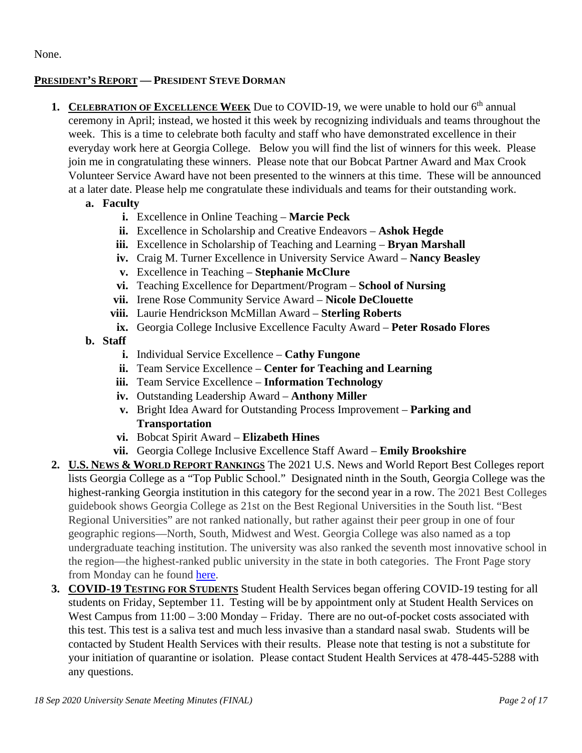None.

# **PRESIDENT'S REPORT — PRESIDENT STEVE DORMAN**

- **1. CELEBRATION OF EXCELLENCE WEEK** Due to COVID-19, we were unable to hold our 6<sup>th</sup> annual ceremony in April; instead, we hosted it this week by recognizing individuals and teams throughout the week. This is a time to celebrate both faculty and staff who have demonstrated excellence in their everyday work here at Georgia College. Below you will find the list of winners for this week. Please join me in congratulating these winners. Please note that our Bobcat Partner Award and Max Crook Volunteer Service Award have not been presented to the winners at this time. These will be announced at a later date. Please help me congratulate these individuals and teams for their outstanding work.
	- **a. Faculty**
		- **i.** Excellence in Online Teaching **Marcie Peck**
		- **ii.** Excellence in Scholarship and Creative Endeavors **Ashok Hegde**
		- **iii.** Excellence in Scholarship of Teaching and Learning **Bryan Marshall**
		- **iv.** Craig M. Turner Excellence in University Service Award **Nancy Beasley**
		- **v.** Excellence in Teaching **Stephanie McClure**
		- **vi.** Teaching Excellence for Department/Program **School of Nursing**
		- **vii.** Irene Rose Community Service Award **Nicole DeClouette**
		- **viii.** Laurie Hendrickson McMillan Award **Sterling Roberts**
		- **ix.** Georgia College Inclusive Excellence Faculty Award **Peter Rosado Flores**
	- **b. Staff**
		- **i.** Individual Service Excellence **Cathy Fungone**
		- **ii.** Team Service Excellence **Center for Teaching and Learning**
		- **iii.** Team Service Excellence **Information Technology**
		- **iv.** Outstanding Leadership Award **Anthony Miller**
		- **v.** Bright Idea Award for Outstanding Process Improvement **Parking and Transportation**
		- **vi.** Bobcat Spirit Award **Elizabeth Hines**
		- **vii.** Georgia College Inclusive Excellence Staff Award **Emily Brookshire**
- **2. U.S. NEWS & WORLD REPORT RANKINGS** The 2021 U.S. News and World Report Best Colleges report lists Georgia College as a "Top Public School." Designated ninth in the South, Georgia College was the highest-ranking Georgia institution in this category for the second year in a row. The 2021 Best Colleges guidebook shows Georgia College as 21st on the Best Regional Universities in the South list. "Best Regional Universities" are not ranked nationally, but rather against their peer group in one of four geographic regions—North, South, Midwest and West. Georgia College was also named as a top undergraduate teaching institution. The university was also ranked the seventh most innovative school in the region—the highest-ranked public university in the state in both categories. The Front Page story from Monday can he found [here.](https://frontpage.gcsu.edu/node/5583)
- **3. COVID-19 TESTING FOR STUDENTS** Student Health Services began offering COVID-19 testing for all students on Friday, September 11. Testing will be by appointment only at Student Health Services on West Campus from  $11:00 - 3:00$  Monday – Friday. There are no out-of-pocket costs associated with this test. This test is a saliva test and much less invasive than a standard nasal swab. Students will be contacted by Student Health Services with their results. Please note that testing is not a substitute for your initiation of quarantine or isolation. Please contact Student Health Services at 478-445-5288 with any questions.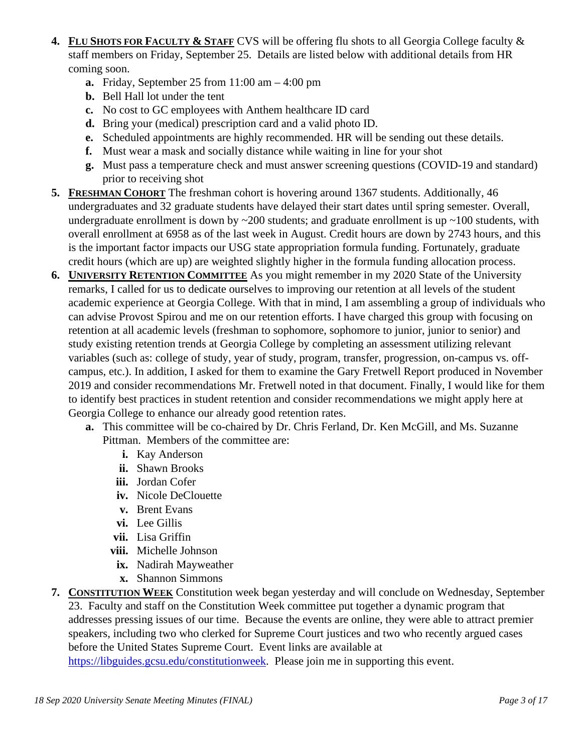- **4. FLU SHOTS FOR FACULTY & STAFF** CVS will be offering flu shots to all Georgia College faculty & staff members on Friday, September 25. Details are listed below with additional details from HR coming soon.
	- **a.** Friday, September 25 from 11:00 am 4:00 pm
	- **b.** Bell Hall lot under the tent
	- **c.** No cost to GC employees with Anthem healthcare ID card
	- **d.** Bring your (medical) prescription card and a valid photo ID.
	- **e.** Scheduled appointments are highly recommended. HR will be sending out these details.
	- **f.** Must wear a mask and socially distance while waiting in line for your shot
	- **g.** Must pass a temperature check and must answer screening questions (COVID-19 and standard) prior to receiving shot
- **5. FRESHMAN COHORT** The freshman cohort is hovering around 1367 students. Additionally, 46 undergraduates and 32 graduate students have delayed their start dates until spring semester. Overall, undergraduate enrollment is down by  $\sim$ 200 students; and graduate enrollment is up  $\sim$ 100 students, with overall enrollment at 6958 as of the last week in August. Credit hours are down by 2743 hours, and this is the important factor impacts our USG state appropriation formula funding. Fortunately, graduate credit hours (which are up) are weighted slightly higher in the formula funding allocation process.
- **6. UNIVERSITY RETENTION COMMITTEE** As you might remember in my 2020 State of the University remarks, I called for us to dedicate ourselves to improving our retention at all levels of the student academic experience at Georgia College. With that in mind, I am assembling a group of individuals who can advise Provost Spirou and me on our retention efforts. I have charged this group with focusing on retention at all academic levels (freshman to sophomore, sophomore to junior, junior to senior) and study existing retention trends at Georgia College by completing an assessment utilizing relevant variables (such as: college of study, year of study, program, transfer, progression, on-campus vs. offcampus, etc.). In addition, I asked for them to examine the Gary Fretwell Report produced in November 2019 and consider recommendations Mr. Fretwell noted in that document. Finally, I would like for them to identify best practices in student retention and consider recommendations we might apply here at Georgia College to enhance our already good retention rates.
	- **a.** This committee will be co-chaired by Dr. Chris Ferland, Dr. Ken McGill, and Ms. Suzanne Pittman. Members of the committee are:
		- **i.** Kay Anderson
		- **ii.** Shawn Brooks
		- **iii.** Jordan Cofer
		- **iv.** Nicole DeClouette
		- **v.** Brent Evans
		- **vi.** Lee Gillis
		- **vii.** Lisa Griffin
		- **viii.** Michelle Johnson
		- **ix.** Nadirah Mayweather
		- **x.** Shannon Simmons
- **7. CONSTITUTION WEEK** Constitution week began yesterday and will conclude on Wednesday, September 23. Faculty and staff on the Constitution Week committee put together a dynamic program that addresses pressing issues of our time. Because the events are online, they were able to attract premier speakers, including two who clerked for Supreme Court justices and two who recently argued cases before the United States Supreme Court. Event links are available at [https://libguides.gcsu.edu/constitutionweek.](https://libguides.gcsu.edu/constitutionweek) Please join me in supporting this event.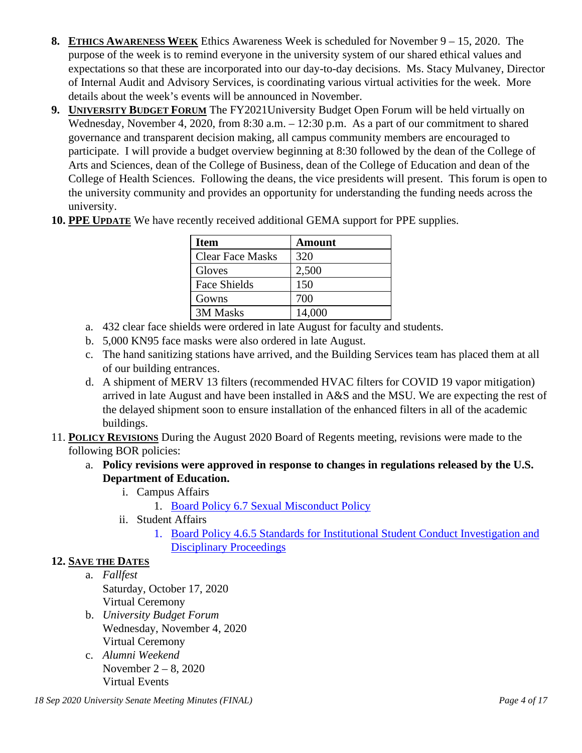- **8. ETHICS AWARENESS WEEK** Ethics Awareness Week is scheduled for November 9 15, 2020. The purpose of the week is to remind everyone in the university system of our shared ethical values and expectations so that these are incorporated into our day-to-day decisions. Ms. Stacy Mulvaney, Director of Internal Audit and Advisory Services, is coordinating various virtual activities for the week. More details about the week's events will be announced in November.
- **9. UNIVERSITY BUDGET FORUM** The FY2021University Budget Open Forum will be held virtually on Wednesday, November 4, 2020, from 8:30 a.m. – 12:30 p.m. As a part of our commitment to shared governance and transparent decision making, all campus community members are encouraged to participate. I will provide a budget overview beginning at 8:30 followed by the dean of the College of Arts and Sciences, dean of the College of Business, dean of the College of Education and dean of the College of Health Sciences. Following the deans, the vice presidents will present. This forum is open to the university community and provides an opportunity for understanding the funding needs across the university.

| <b>Item</b>             | <b>Amount</b> |
|-------------------------|---------------|
| <b>Clear Face Masks</b> | 320           |
| Gloves                  | 2,500         |
| Face Shields            | 150           |
| Gowns                   | 700           |
| 3M Masks                | 14,000        |

**10. PPE UPDATE** We have recently received additional GEMA support for PPE supplies.

- a. 432 clear face shields were ordered in late August for faculty and students.
- b. 5,000 KN95 face masks were also ordered in late August.
- c. The hand sanitizing stations have arrived, and the Building Services team has placed them at all of our building entrances.
- d. A shipment of MERV 13 filters (recommended HVAC filters for COVID 19 vapor mitigation) arrived in late August and have been installed in A&S and the MSU. We are expecting the rest of the delayed shipment soon to ensure installation of the enhanced filters in all of the academic buildings.
- 11. **POLICY REVISIONS** During the August 2020 Board of Regents meeting, revisions were made to the following BOR policies:
	- a. **Policy revisions were approved in response to changes in regulations released by the U.S. Department of Education.** 
		- i. Campus Affairs
			- 1. Board Policy 6.7 Sexual [Misconduct](https://www.usg.edu/policymanual/section6/C2655) Policy
		- ii. Student Affairs
			- 1. [Board Policy 4.6.5 Standards for Institutional Student Conduct Investigation and](https://www.usg.edu/policymanual/section4/C332/#p4.6.5_standards_for_institutional_student_conduct_investigation)  [Disciplinary Proceedings](https://www.usg.edu/policymanual/section4/C332/#p4.6.5_standards_for_institutional_student_conduct_investigation)

## **12. SAVE THE DATES**

- a. *Fallfest* Saturday, October 17, 2020 Virtual Ceremony
- b. *University Budget Forum* Wednesday, November 4, 2020 Virtual Ceremony
- c. *Alumni Weekend* November 2 – 8, 2020 Virtual Events

*18 Sep 2020 University Senate Meeting Minutes (FINAL) Page 4 of 17*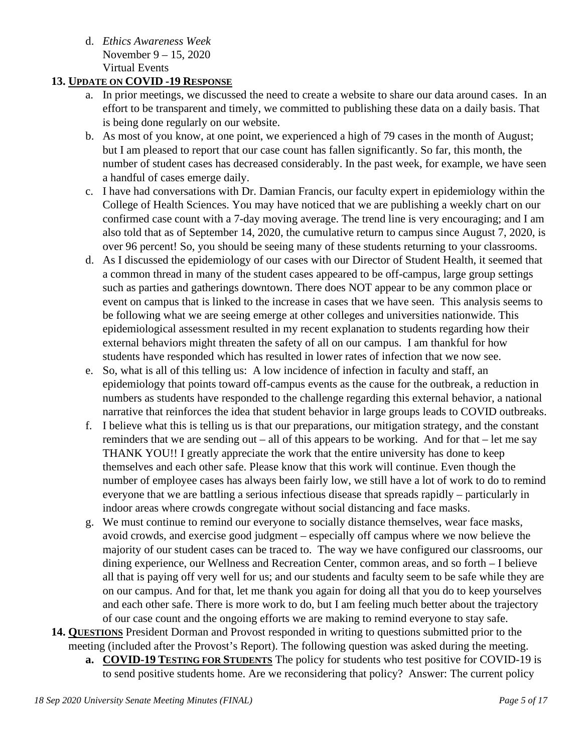d. *Ethics Awareness Week* November 9 – 15, 2020 Virtual Events

# **13. UPDATE ON COVID -19 RESPONSE**

- a. In prior meetings, we discussed the need to create a website to share our data around cases. In an effort to be transparent and timely, we committed to publishing these data on a daily basis. That is being done regularly on our website.
- b. As most of you know, at one point, we experienced a high of 79 cases in the month of August; but I am pleased to report that our case count has fallen significantly. So far, this month, the number of student cases has decreased considerably. In the past week, for example, we have seen a handful of cases emerge daily.
- c. I have had conversations with Dr. Damian Francis, our faculty expert in epidemiology within the College of Health Sciences. You may have noticed that we are publishing a weekly chart on our confirmed case count with a 7-day moving average. The trend line is very encouraging; and I am also told that as of September 14, 2020, the cumulative return to campus since August 7, 2020, is over 96 percent! So, you should be seeing many of these students returning to your classrooms.
- d. As I discussed the epidemiology of our cases with our Director of Student Health, it seemed that a common thread in many of the student cases appeared to be off-campus, large group settings such as parties and gatherings downtown. There does NOT appear to be any common place or event on campus that is linked to the increase in cases that we have seen. This analysis seems to be following what we are seeing emerge at other colleges and universities nationwide. This epidemiological assessment resulted in my recent explanation to students regarding how their external behaviors might threaten the safety of all on our campus. I am thankful for how students have responded which has resulted in lower rates of infection that we now see.
- e. So, what is all of this telling us: A low incidence of infection in faculty and staff, an epidemiology that points toward off-campus events as the cause for the outbreak, a reduction in numbers as students have responded to the challenge regarding this external behavior, a national narrative that reinforces the idea that student behavior in large groups leads to COVID outbreaks.
- f. I believe what this is telling us is that our preparations, our mitigation strategy, and the constant reminders that we are sending out – all of this appears to be working. And for that – let me say THANK YOU!! I greatly appreciate the work that the entire university has done to keep themselves and each other safe. Please know that this work will continue. Even though the number of employee cases has always been fairly low, we still have a lot of work to do to remind everyone that we are battling a serious infectious disease that spreads rapidly – particularly in indoor areas where crowds congregate without social distancing and face masks.
- g. We must continue to remind our everyone to socially distance themselves, wear face masks, avoid crowds, and exercise good judgment – especially off campus where we now believe the majority of our student cases can be traced to. The way we have configured our classrooms, our dining experience, our Wellness and Recreation Center, common areas, and so forth – I believe all that is paying off very well for us; and our students and faculty seem to be safe while they are on our campus. And for that, let me thank you again for doing all that you do to keep yourselves and each other safe. There is more work to do, but I am feeling much better about the trajectory of our case count and the ongoing efforts we are making to remind everyone to stay safe.
- **14. QUESTIONS** President Dorman and Provost responded in writing to questions submitted prior to the meeting (included after the Provost's Report). The following question was asked during the meeting.
	- **a. COVID-19 TESTING FOR STUDENTS** The policy for students who test positive for COVID-19 is to send positive students home. Are we reconsidering that policy? Answer: The current policy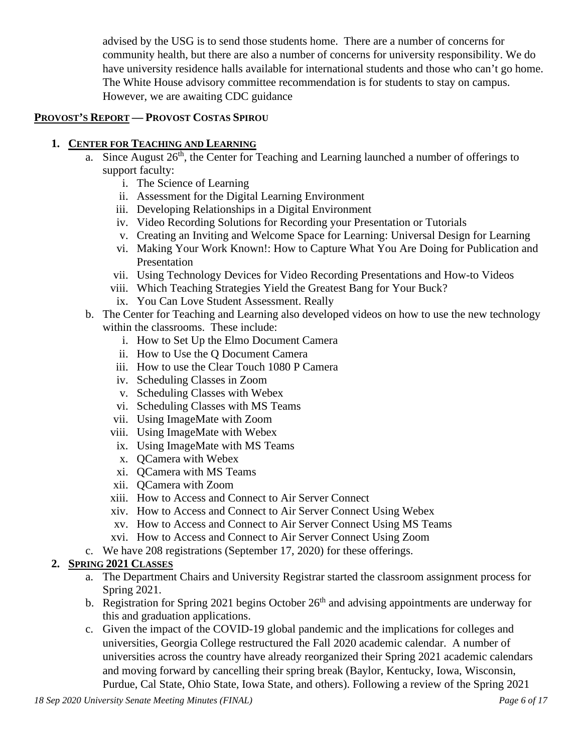advised by the USG is to send those students home. There are a number of concerns for community health, but there are also a number of concerns for university responsibility. We do have university residence halls available for international students and those who can't go home. The White House advisory committee recommendation is for students to stay on campus. However, we are awaiting CDC guidance

## **PROVOST'S REPORT — PROVOST COSTAS SPIROU**

# **1. CENTER FOR TEACHING AND LEARNING**

- a. Since August  $26<sup>th</sup>$ , the Center for Teaching and Learning launched a number of offerings to support faculty:
	- i. The Science of Learning
	- ii. Assessment for the Digital Learning Environment
	- iii. Developing Relationships in a Digital Environment
	- iv. Video Recording Solutions for Recording your Presentation or Tutorials
	- v. Creating an Inviting and Welcome Space for Learning: Universal Design for Learning
	- vi. Making Your Work Known!: How to Capture What You Are Doing for Publication and Presentation
	- vii. Using Technology Devices for Video Recording Presentations and How-to Videos
	- viii. Which Teaching Strategies Yield the Greatest Bang for Your Buck?
	- ix. You Can Love Student Assessment. Really
- b. The Center for Teaching and Learning also developed videos on how to use the new technology within the classrooms. These include:
	- i. How to Set Up the Elmo Document Camera
	- ii. How to Use the Q Document Camera
	- iii. How to use the Clear Touch 1080 P Camera
	- iv. Scheduling Classes in Zoom
	- v. Scheduling Classes with Webex
	- vi. Scheduling Classes with MS Teams
	- vii. Using ImageMate with Zoom
	- viii. Using ImageMate with Webex
	- ix. Using ImageMate with MS Teams
	- x. QCamera with Webex
	- xi. QCamera with MS Teams
	- xii. QCamera with Zoom
	- xiii. How to Access and Connect to Air Server Connect
	- xiv. How to Access and Connect to Air Server Connect Using Webex
	- xv. How to Access and Connect to Air Server Connect Using MS Teams
	- xvi. How to Access and Connect to Air Server Connect Using Zoom
- c. We have 208 registrations (September 17, 2020) for these offerings.

## **2. SPRING 2021 CLASSES**

- a. The Department Chairs and University Registrar started the classroom assignment process for Spring 2021.
- b. Registration for Spring 2021 begins October  $26<sup>th</sup>$  and advising appointments are underway for this and graduation applications.
- c. Given the impact of the COVID-19 global pandemic and the implications for colleges and universities, Georgia College restructured the Fall 2020 academic calendar. A number of universities across the country have already reorganized their Spring 2021 academic calendars and moving forward by cancelling their spring break (Baylor, Kentucky, Iowa, Wisconsin, Purdue, Cal State, Ohio State, Iowa State, and others). Following a review of the Spring 2021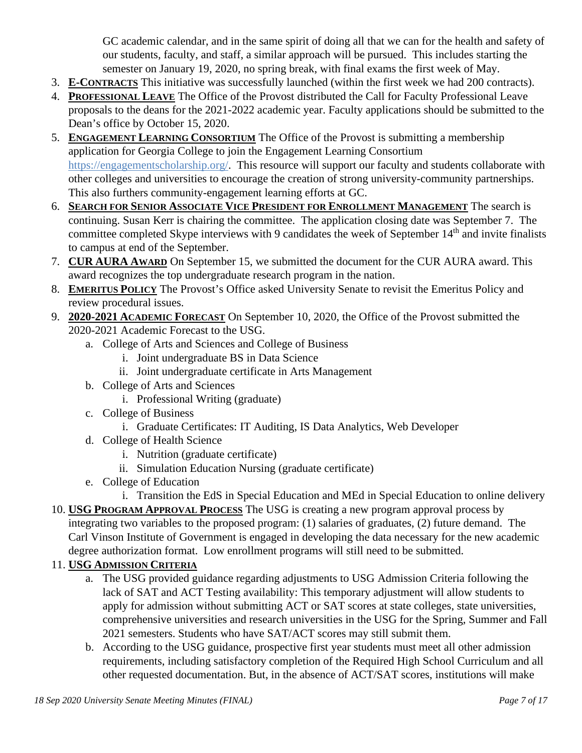GC academic calendar, and in the same spirit of doing all that we can for the health and safety of our students, faculty, and staff, a similar approach will be pursued. This includes starting the semester on January 19, 2020, no spring break, with final exams the first week of May.

- 3. **E-CONTRACTS** This initiative was successfully launched (within the first week we had 200 contracts).
- 4. **PROFESSIONAL LEAVE** The Office of the Provost distributed the Call for Faculty Professional Leave proposals to the deans for the 2021-2022 academic year. Faculty applications should be submitted to the Dean's office by October 15, 2020.
- 5. **ENGAGEMENT LEARNING CONSORTIUM** The Office of the Provost is submitting a membership application for Georgia College to join the Engagement Learning Consortium [https://engagementscholarship.org/.](https://engagementscholarship.org/) This resource will support our faculty and students collaborate with other colleges and universities to encourage the creation of strong university-community partnerships. This also furthers community-engagement learning efforts at GC.
- 6. **SEARCH FOR SENIOR ASSOCIATE VICE PRESIDENT FOR ENROLLMENT MANAGEMENT** The search is continuing. Susan Kerr is chairing the committee. The application closing date was September 7. The committee completed Skype interviews with 9 candidates the week of September 14<sup>th</sup> and invite finalists to campus at end of the September.
- 7. **CUR AURA AWARD** On September 15, we submitted the document for the CUR AURA award. This award recognizes the top undergraduate research program in the nation.
- 8. **EMERITUS POLICY** The Provost's Office asked University Senate to revisit the Emeritus Policy and review procedural issues.
- 9. **2020-2021 ACADEMIC FORECAST** On September 10, 2020, the Office of the Provost submitted the 2020-2021 Academic Forecast to the USG.
	- a. College of Arts and Sciences and College of Business
		- i. Joint undergraduate BS in Data Science
		- ii. Joint undergraduate certificate in Arts Management
	- b. College of Arts and Sciences
		- i. Professional Writing (graduate)
	- c. College of Business
		- i. Graduate Certificates: IT Auditing, IS Data Analytics, Web Developer
	- d. College of Health Science
		- i. Nutrition (graduate certificate)
		- ii. Simulation Education Nursing (graduate certificate)
	- e. College of Education
		- i. Transition the EdS in Special Education and MEd in Special Education to online delivery
- 10. **USG PROGRAM APPROVAL PROCESS** The USG is creating a new program approval process by integrating two variables to the proposed program: (1) salaries of graduates, (2) future demand. The Carl Vinson Institute of Government is engaged in developing the data necessary for the new academic degree authorization format. Low enrollment programs will still need to be submitted.

# 11. **USG ADMISSION CRITERIA**

- a. The USG provided guidance regarding adjustments to USG Admission Criteria following the lack of SAT and ACT Testing availability: This temporary adjustment will allow students to apply for admission without submitting ACT or SAT scores at state colleges, state universities, comprehensive universities and research universities in the USG for the Spring, Summer and Fall 2021 semesters. Students who have SAT/ACT scores may still submit them.
- b. According to the USG guidance, prospective first year students must meet all other admission requirements, including satisfactory completion of the Required High School Curriculum and all other requested documentation. But, in the absence of ACT/SAT scores, institutions will make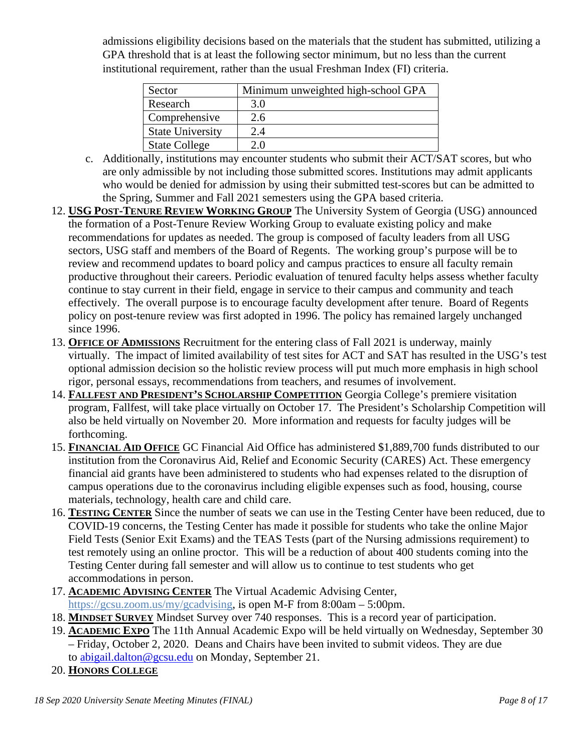admissions eligibility decisions based on the materials that the student has submitted, utilizing a GPA threshold that is at least the following sector minimum, but no less than the current institutional requirement, rather than the usual Freshman Index (FI) criteria.

| Sector                  | Minimum unweighted high-school GPA |
|-------------------------|------------------------------------|
| Research                | 3.0                                |
| Comprehensive           | 2.6                                |
| <b>State University</b> | 2.4                                |
| <b>State College</b>    | 2.0                                |

- c. Additionally, institutions may encounter students who submit their ACT/SAT scores, but who are only admissible by not including those submitted scores. Institutions may admit applicants who would be denied for admission by using their submitted test-scores but can be admitted to the Spring, Summer and Fall 2021 semesters using the GPA based criteria.
- 12. **USG POST-TENURE REVIEW WORKING GROUP** The University System of Georgia (USG) announced the formation of a Post-Tenure Review Working Group to evaluate existing policy and make recommendations for updates as needed. The group is composed of faculty leaders from all USG sectors, USG staff and members of the Board of Regents. The working group's purpose will be to review and recommend updates to board policy and campus practices to ensure all faculty remain productive throughout their careers. Periodic evaluation of tenured faculty helps assess whether faculty continue to stay current in their field, engage in service to their campus and community and teach effectively. The overall purpose is to encourage faculty development after tenure. Board of Regents policy on post-tenure review was first adopted in 1996. The policy has remained largely unchanged since 1996.
- 13. **OFFICE OF ADMISSIONS** Recruitment for the entering class of Fall 2021 is underway, mainly virtually. The impact of limited availability of test sites for ACT and SAT has resulted in the USG's test optional admission decision so the holistic review process will put much more emphasis in high school rigor, personal essays, recommendations from teachers, and resumes of involvement.
- 14. **FALLFEST AND PRESIDENT'S SCHOLARSHIP COMPETITION** Georgia College's premiere visitation program, Fallfest, will take place virtually on October 17. The President's Scholarship Competition will also be held virtually on November 20. More information and requests for faculty judges will be forthcoming.
- 15. **FINANCIAL AID OFFICE** GC Financial Aid Office has administered \$1,889,700 funds distributed to our institution from the Coronavirus Aid, Relief and Economic Security (CARES) Act. These emergency financial aid grants have been administered to students who had expenses related to the disruption of campus operations due to the coronavirus including eligible expenses such as food, housing, course materials, technology, health care and child care.
- 16. **TESTING CENTER** Since the number of seats we can use in the Testing Center have been reduced, due to COVID-19 concerns, the Testing Center has made it possible for students who take the online Major Field Tests (Senior Exit Exams) and the TEAS Tests (part of the Nursing admissions requirement) to test remotely using an online proctor. This will be a reduction of about 400 students coming into the Testing Center during fall semester and will allow us to continue to test students who get accommodations in person.
- 17. **ACADEMIC ADVISING CENTER** The Virtual Academic Advising Center, [https://gcsu.zoom.us/my/gcadvising,](https://nam11.safelinks.protection.outlook.com/?url=https%3A%2F%2Fgcsu.zoom.us%2Fmy%2Fgcadvising&data=02%7C01%7Ccostas.spirou%40gcsu.edu%7Cfb17ab7e45c744c3f75908d85a5ec01c%7Cbfd29cfa8e7142e69abc953a6d6f07d6%7C0%7C0%7C637358710279557780&sdata=seavLSQ0cDgBRdFRQAFSbIL7w%2By44iRGZTpQP6Vz%2B3I%3D&reserved=0) is open M-F from 8:00am – 5:00pm.
- 18. **MINDSET SURVEY** Mindset Survey over 740 responses. This is a record year of participation.
- 19. **ACADEMIC EXPO** The 11th Annual Academic Expo will be held virtually on Wednesday, September 30 – Friday, October 2, 2020. Deans and Chairs have been invited to submit videos. They are due to [abigail.dalton@gcsu.edu](mailto:abigail.dalton@gcsu.edu) on Monday, September 21.
- 20. **HONORS COLLEGE**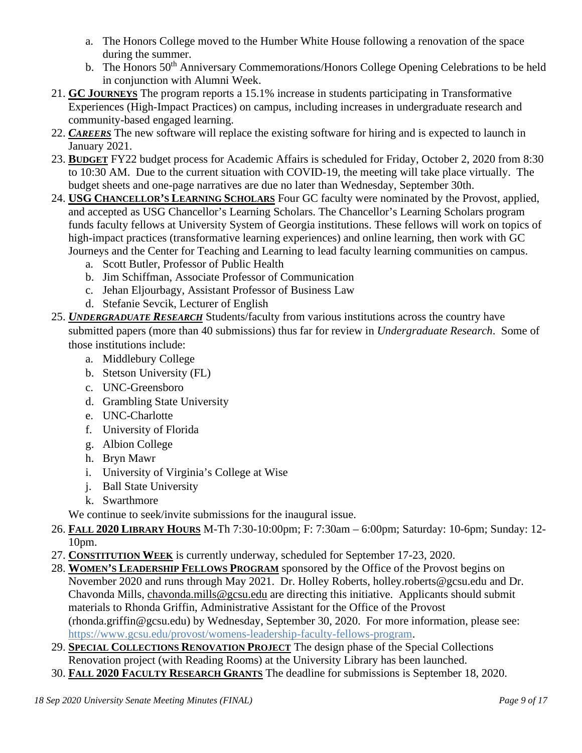- a. The Honors College moved to the Humber White House following a renovation of the space during the summer.
- b. The Honors 50<sup>th</sup> Anniversary Commemorations/Honors College Opening Celebrations to be held in conjunction with Alumni Week.
- 21. **GC JOURNEYS** The program reports a 15.1% increase in students participating in Transformative Experiences (High-Impact Practices) on campus, including increases in undergraduate research and community-based engaged learning.
- 22. *CAREERS* The new software will replace the existing software for hiring and is expected to launch in January 2021.
- 23. **BUDGET** FY22 budget process for Academic Affairs is scheduled for Friday, October 2, 2020 from 8:30 to 10:30 AM. Due to the current situation with COVID-19, the meeting will take place virtually. The budget sheets and one-page narratives are due no later than Wednesday, September 30th.
- 24. **USG CHANCELLOR'S LEARNING SCHOLARS** Four GC faculty were nominated by the Provost, applied, and accepted as USG Chancellor's Learning Scholars. The Chancellor's Learning Scholars program funds faculty fellows at University System of Georgia institutions. These fellows will work on topics of high-impact practices (transformative learning experiences) and online learning, then work with GC Journeys and the Center for Teaching and Learning to lead faculty learning communities on campus.
	- a. Scott Butler, Professor of Public Health
	- b. Jim Schiffman, Associate Professor of Communication
	- c. Jehan Eljourbagy, Assistant Professor of Business Law
	- d. Stefanie Sevcik, Lecturer of English
- 25. *UNDERGRADUATE RESEARCH* Students/faculty from various institutions across the country have submitted papers (more than 40 submissions) thus far for review in *Undergraduate Research*. Some of those institutions include:
	- a. Middlebury College
	- b. Stetson University (FL)
	- c. UNC-Greensboro
	- d. Grambling State University
	- e. UNC-Charlotte
	- f. University of Florida
	- g. Albion College
	- h. Bryn Mawr
	- i. University of Virginia's College at Wise
	- j. Ball State University
	- k. Swarthmore

We continue to seek/invite submissions for the inaugural issue.

- 26. **FALL 2020 LIBRARY HOURS** M-Th 7:30-10:00pm; F: 7:30am 6:00pm; Saturday: 10-6pm; Sunday: 12- 10pm.
- 27. **CONSTITUTION WEEK** is currently underway, scheduled for September 17-23, 2020.
- 28. **WOMEN'S LEADERSHIP FELLOWS PROGRAM** sponsored by the Office of the Provost begins on November 2020 and runs through May 2021. Dr. Holley Roberts, holley.roberts@gcsu.edu and Dr. Chavonda Mills, [chavonda.mills@gcsu.edu](mailto:chavonda.mills@gcsu.edu) are directing this initiative. Applicants should submit materials to Rhonda Griffin, Administrative Assistant for the Office of the Provost (rhonda.griffin@gcsu.edu) by Wednesday, September 30, 2020. For more information, please see: [https://www.gcsu.edu/provost/womens-leadership-faculty-fellows-program.](https://www.gcsu.edu/provost/womens-leadership-faculty-fellows-program)
- 29. **SPECIAL COLLECTIONS RENOVATION PROJECT** The design phase of the Special Collections Renovation project (with Reading Rooms) at the University Library has been launched.
- 30. **FALL 2020 FACULTY RESEARCH GRANTS** The deadline for submissions is September 18, 2020.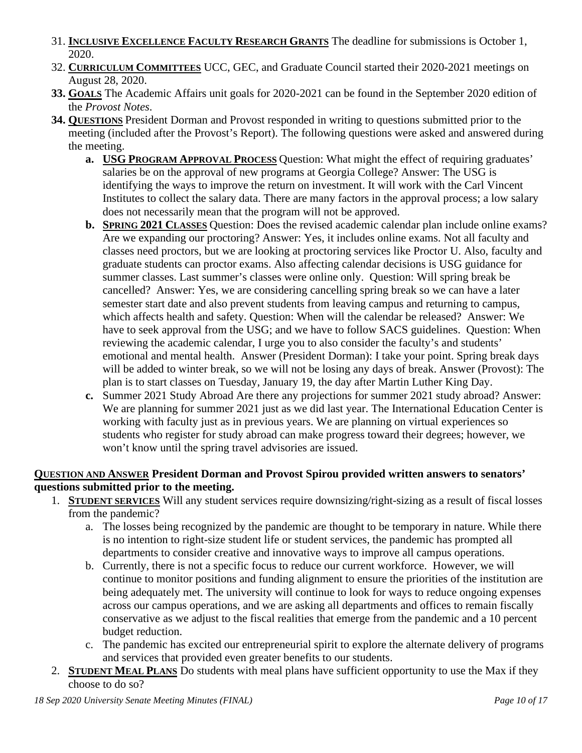- 31. **INCLUSIVE EXCELLENCE FACULTY RESEARCH GRANTS** The deadline for submissions is October 1, 2020.
- 32. **CURRICULUM COMMITTEES** UCC, GEC, and Graduate Council started their 2020-2021 meetings on August 28, 2020.
- **33. GOALS** The Academic Affairs unit goals for 2020-2021 can be found in the September 2020 edition of the *Provost Notes*.
- **34. QUESTIONS** President Dorman and Provost responded in writing to questions submitted prior to the meeting (included after the Provost's Report). The following questions were asked and answered during the meeting.
	- **a. USG PROGRAM APPROVAL PROCESS** Question: What might the effect of requiring graduates' salaries be on the approval of new programs at Georgia College? Answer: The USG is identifying the ways to improve the return on investment. It will work with the Carl Vincent Institutes to collect the salary data. There are many factors in the approval process; a low salary does not necessarily mean that the program will not be approved.
	- **b. SPRING 2021 CLASSES** Question: Does the revised academic calendar plan include online exams? Are we expanding our proctoring? Answer: Yes, it includes online exams. Not all faculty and classes need proctors, but we are looking at proctoring services like Proctor U. Also, faculty and graduate students can proctor exams. Also affecting calendar decisions is USG guidance for summer classes. Last summer's classes were online only. Question: Will spring break be cancelled? Answer: Yes, we are considering cancelling spring break so we can have a later semester start date and also prevent students from leaving campus and returning to campus, which affects health and safety. Question: When will the calendar be released? Answer: We have to seek approval from the USG; and we have to follow SACS guidelines. Question: When reviewing the academic calendar, I urge you to also consider the faculty's and students' emotional and mental health. Answer (President Dorman): I take your point. Spring break days will be added to winter break, so we will not be losing any days of break. Answer (Provost): The plan is to start classes on Tuesday, January 19, the day after Martin Luther King Day.
	- **c.** Summer 2021 Study Abroad Are there any projections for summer 2021 study abroad? Answer: We are planning for summer 2021 just as we did last year. The International Education Center is working with faculty just as in previous years. We are planning on virtual experiences so students who register for study abroad can make progress toward their degrees; however, we won't know until the spring travel advisories are issued.

## **QUESTION AND ANSWER President Dorman and Provost Spirou provided written answers to senators' questions submitted prior to the meeting.**

- 1. **STUDENT SERVICES** Will any student services require downsizing/right-sizing as a result of fiscal losses from the pandemic?
	- a. The losses being recognized by the pandemic are thought to be temporary in nature. While there is no intention to right-size student life or student services, the pandemic has prompted all departments to consider creative and innovative ways to improve all campus operations.
	- b. Currently, there is not a specific focus to reduce our current workforce. However, we will continue to monitor positions and funding alignment to ensure the priorities of the institution are being adequately met. The university will continue to look for ways to reduce ongoing expenses across our campus operations, and we are asking all departments and offices to remain fiscally conservative as we adjust to the fiscal realities that emerge from the pandemic and a 10 percent budget reduction.
	- c. The pandemic has excited our entrepreneurial spirit to explore the alternate delivery of programs and services that provided even greater benefits to our students.
- 2. **STUDENT MEAL PLANS** Do students with meal plans have sufficient opportunity to use the Max if they choose to do so?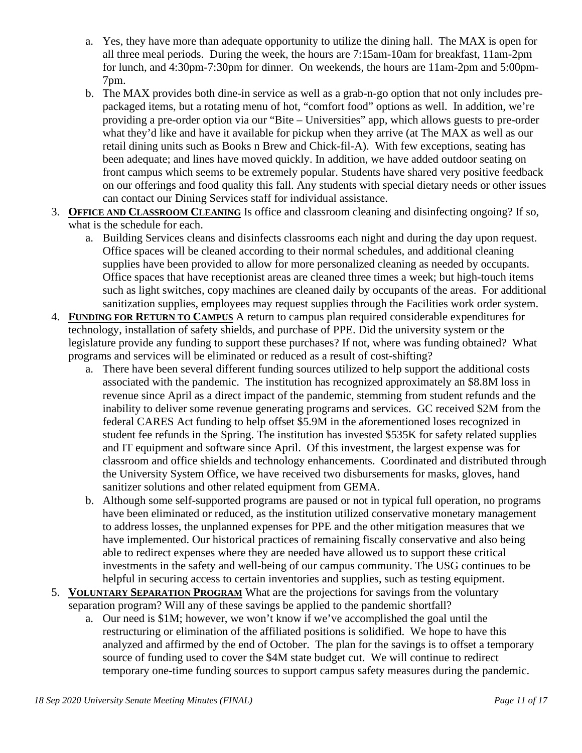- a. Yes, they have more than adequate opportunity to utilize the dining hall. The MAX is open for all three meal periods. During the week, the hours are 7:15am-10am for breakfast, 11am-2pm for lunch, and 4:30pm-7:30pm for dinner. On weekends, the hours are 11am-2pm and 5:00pm-7pm.
- b. The MAX provides both dine-in service as well as a grab-n-go option that not only includes prepackaged items, but a rotating menu of hot, "comfort food" options as well. In addition, we're providing a pre-order option via our "Bite – Universities" app, which allows guests to pre-order what they'd like and have it available for pickup when they arrive (at The MAX as well as our retail dining units such as Books n Brew and Chick-fil-A). With few exceptions, seating has been adequate; and lines have moved quickly. In addition, we have added outdoor seating on front campus which seems to be extremely popular. Students have shared very positive feedback on our offerings and food quality this fall. Any students with special dietary needs or other issues can contact our Dining Services staff for individual assistance.
- 3. **OFFICE AND CLASSROOM CLEANING** Is office and classroom cleaning and disinfecting ongoing? If so, what is the schedule for each.
	- a. Building Services cleans and disinfects classrooms each night and during the day upon request. Office spaces will be cleaned according to their normal schedules, and additional cleaning supplies have been provided to allow for more personalized cleaning as needed by occupants. Office spaces that have receptionist areas are cleaned three times a week; but high-touch items such as light switches, copy machines are cleaned daily by occupants of the areas. For additional sanitization supplies, employees may request supplies through the Facilities work order system.
- 4. **FUNDING FOR RETURN TO CAMPUS** A return to campus plan required considerable expenditures for technology, installation of safety shields, and purchase of PPE. Did the university system or the legislature provide any funding to support these purchases? If not, where was funding obtained? What programs and services will be eliminated or reduced as a result of cost-shifting?
	- a. There have been several different funding sources utilized to help support the additional costs associated with the pandemic. The institution has recognized approximately an \$8.8M loss in revenue since April as a direct impact of the pandemic, stemming from student refunds and the inability to deliver some revenue generating programs and services. GC received \$2M from the federal CARES Act funding to help offset \$5.9M in the aforementioned loses recognized in student fee refunds in the Spring. The institution has invested \$535K for safety related supplies and IT equipment and software since April. Of this investment, the largest expense was for classroom and office shields and technology enhancements. Coordinated and distributed through the University System Office, we have received two disbursements for masks, gloves, hand sanitizer solutions and other related equipment from GEMA.
	- b. Although some self-supported programs are paused or not in typical full operation, no programs have been eliminated or reduced, as the institution utilized conservative monetary management to address losses, the unplanned expenses for PPE and the other mitigation measures that we have implemented. Our historical practices of remaining fiscally conservative and also being able to redirect expenses where they are needed have allowed us to support these critical investments in the safety and well-being of our campus community. The USG continues to be helpful in securing access to certain inventories and supplies, such as testing equipment.
- 5. **VOLUNTARY SEPARATION PROGRAM** What are the projections for savings from the voluntary separation program? Will any of these savings be applied to the pandemic shortfall?
	- a. Our need is \$1M; however, we won't know if we've accomplished the goal until the restructuring or elimination of the affiliated positions is solidified. We hope to have this analyzed and affirmed by the end of October. The plan for the savings is to offset a temporary source of funding used to cover the \$4M state budget cut. We will continue to redirect temporary one-time funding sources to support campus safety measures during the pandemic.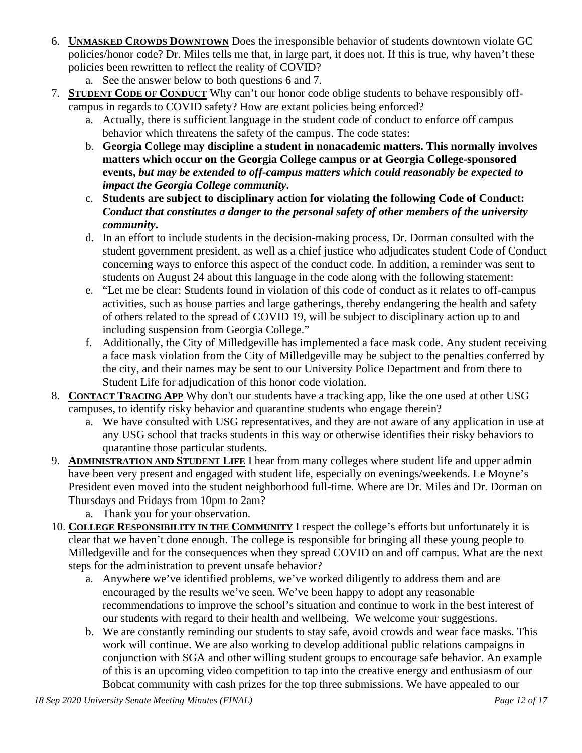- 6. **UNMASKED CROWDS DOWNTOWN** Does the irresponsible behavior of students downtown violate GC policies/honor code? Dr. Miles tells me that, in large part, it does not. If this is true, why haven't these policies been rewritten to reflect the reality of COVID?
	- a. See the answer below to both questions 6 and 7.
- 7. **STUDENT CODE OF CONDUCT** Why can't our honor code oblige students to behave responsibly offcampus in regards to COVID safety? How are extant policies being enforced?
	- a. Actually, there is sufficient language in the student code of conduct to enforce off campus behavior which threatens the safety of the campus. The code states:
	- b. **Georgia College may discipline a student in nonacademic matters. This normally involves matters which occur on the Georgia College campus or at Georgia College-sponsored events,** *but may be extended to off-campus matters which could reasonably be expected to impact the Georgia College community***.**
	- c. **Students are subject to disciplinary action for violating the following Code of Conduct:**  *Conduct that constitutes a danger to the personal safety of other members of the university community***.**
	- d. In an effort to include students in the decision-making process, Dr. Dorman consulted with the student government president, as well as a chief justice who adjudicates student Code of Conduct concerning ways to enforce this aspect of the conduct code. In addition, a reminder was sent to students on August 24 about this language in the code along with the following statement:
	- e. "Let me be clear: Students found in violation of this code of conduct as it relates to off-campus activities, such as house parties and large gatherings, thereby endangering the health and safety of others related to the spread of COVID 19, will be subject to disciplinary action up to and including suspension from Georgia College."
	- f. Additionally, the City of Milledgeville has implemented a face mask code. Any student receiving a face mask violation from the City of Milledgeville may be subject to the penalties conferred by the city, and their names may be sent to our University Police Department and from there to Student Life for adjudication of this honor code violation.
- 8. **CONTACT TRACING APP** Why don't our students have a tracking app, like the one used at other USG campuses, to identify risky behavior and quarantine students who engage therein?
	- a. We have consulted with USG representatives, and they are not aware of any application in use at any USG school that tracks students in this way or otherwise identifies their risky behaviors to quarantine those particular students.
- 9. **ADMINISTRATION AND STUDENT LIFE** I hear from many colleges where student life and upper admin have been very present and engaged with student life, especially on evenings/weekends. Le Moyne's President even moved into the student neighborhood full-time. Where are Dr. Miles and Dr. Dorman on Thursdays and Fridays from 10pm to 2am?
	- a. Thank you for your observation.
- 10. **COLLEGE RESPONSIBILITY IN THE COMMUNITY** I respect the college's efforts but unfortunately it is clear that we haven't done enough. The college is responsible for bringing all these young people to Milledgeville and for the consequences when they spread COVID on and off campus. What are the next steps for the administration to prevent unsafe behavior?
	- a. Anywhere we've identified problems, we've worked diligently to address them and are encouraged by the results we've seen. We've been happy to adopt any reasonable recommendations to improve the school's situation and continue to work in the best interest of our students with regard to their health and wellbeing. We welcome your suggestions.
	- b. We are constantly reminding our students to stay safe, avoid crowds and wear face masks. This work will continue. We are also working to develop additional public relations campaigns in conjunction with SGA and other willing student groups to encourage safe behavior. An example of this is an upcoming video competition to tap into the creative energy and enthusiasm of our Bobcat community with cash prizes for the top three submissions. We have appealed to our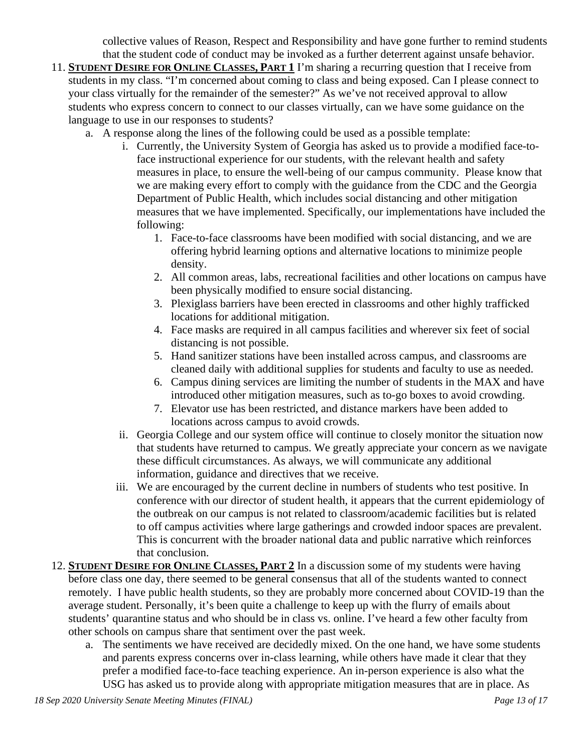collective values of Reason, Respect and Responsibility and have gone further to remind students that the student code of conduct may be invoked as a further deterrent against unsafe behavior.

- 11. **STUDENT DESIRE FOR ONLINE CLASSES, PART 1** I'm sharing a recurring question that I receive from students in my class. "I'm concerned about coming to class and being exposed. Can I please connect to your class virtually for the remainder of the semester?" As we've not received approval to allow students who express concern to connect to our classes virtually, can we have some guidance on the language to use in our responses to students?
	- a. A response along the lines of the following could be used as a possible template:
		- i. Currently, the University System of Georgia has asked us to provide a modified face-toface instructional experience for our students, with the relevant health and safety measures in place, to ensure the well-being of our campus community. Please know that we are making every effort to comply with the guidance from the CDC and the Georgia Department of Public Health, which includes social distancing and other mitigation measures that we have implemented. Specifically, our implementations have included the following:
			- 1. Face-to-face classrooms have been modified with social distancing, and we are offering hybrid learning options and alternative locations to minimize people density.
			- 2. All common areas, labs, recreational facilities and other locations on campus have been physically modified to ensure social distancing.
			- 3. Plexiglass barriers have been erected in classrooms and other highly trafficked locations for additional mitigation.
			- 4. Face masks are required in all campus facilities and wherever six feet of social distancing is not possible.
			- 5. Hand sanitizer stations have been installed across campus, and classrooms are cleaned daily with additional supplies for students and faculty to use as needed.
			- 6. Campus dining services are limiting the number of students in the MAX and have introduced other mitigation measures, such as to-go boxes to avoid crowding.
			- 7. Elevator use has been restricted, and distance markers have been added to locations across campus to avoid crowds.
		- ii. Georgia College and our system office will continue to closely monitor the situation now that students have returned to campus. We greatly appreciate your concern as we navigate these difficult circumstances. As always, we will communicate any additional information, guidance and directives that we receive.
		- iii. We are encouraged by the current decline in numbers of students who test positive. In conference with our director of student health, it appears that the current epidemiology of the outbreak on our campus is not related to classroom/academic facilities but is related to off campus activities where large gatherings and crowded indoor spaces are prevalent. This is concurrent with the broader national data and public narrative which reinforces that conclusion.
- 12. **STUDENT DESIRE FOR ONLINE CLASSES, PART 2** In a discussion some of my students were having before class one day, there seemed to be general consensus that all of the students wanted to connect remotely. I have public health students, so they are probably more concerned about COVID-19 than the average student. Personally, it's been quite a challenge to keep up with the flurry of emails about students' quarantine status and who should be in class vs. online. I've heard a few other faculty from other schools on campus share that sentiment over the past week.
	- a. The sentiments we have received are decidedly mixed. On the one hand, we have some students and parents express concerns over in-class learning, while others have made it clear that they prefer a modified face-to-face teaching experience. An in-person experience is also what the USG has asked us to provide along with appropriate mitigation measures that are in place. As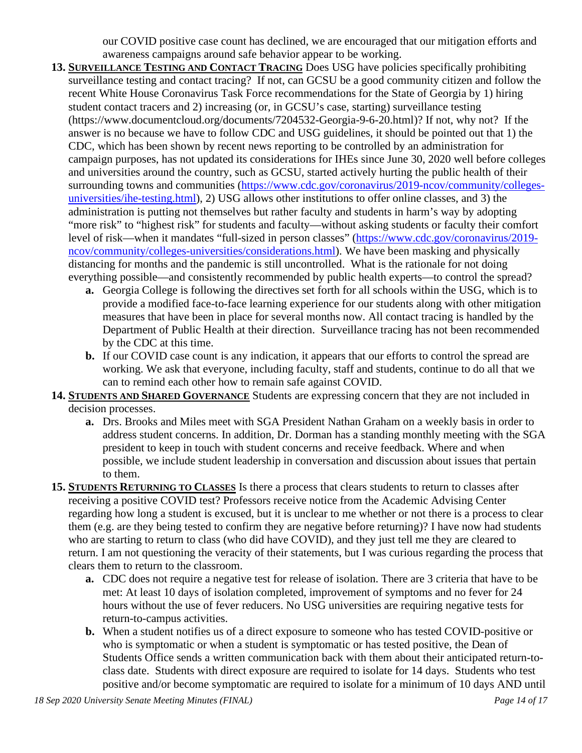our COVID positive case count has declined, we are encouraged that our mitigation efforts and awareness campaigns around safe behavior appear to be working.

- **13. SURVEILLANCE TESTING AND CONTACT TRACING** Does USG have policies specifically prohibiting surveillance testing and contact tracing? If not, can GCSU be a good community citizen and follow the recent White House Coronavirus Task Force recommendations for the State of Georgia by 1) hiring student contact tracers and 2) increasing (or, in GCSU's case, starting) surveillance testing (https://www.documentcloud.org/documents/7204532-Georgia-9-6-20.html)? If not, why not? If the answer is no because we have to follow CDC and USG guidelines, it should be pointed out that 1) the CDC, which has been shown by recent news reporting to be controlled by an administration for campaign purposes, has not updated its considerations for IHEs since June 30, 2020 well before colleges and universities around the country, such as GCSU, started actively hurting the public health of their surrounding towns and communities [\(https://www.cdc.gov/coronavirus/2019-ncov/community/colleges](https://www.cdc.gov/coronavirus/2019-ncov/community/colleges-universities/ihe-testing.html)[universities/ihe-testing.html\)](https://www.cdc.gov/coronavirus/2019-ncov/community/colleges-universities/ihe-testing.html), 2) USG allows other institutions to offer online classes, and 3) the administration is putting not themselves but rather faculty and students in harm's way by adopting "more risk" to "highest risk" for students and faculty—without asking students or faculty their comfort level of risk—when it mandates "full-sized in person classes" [\(https://www.cdc.gov/coronavirus/2019](https://www.cdc.gov/coronavirus/2019-ncov/community/colleges-universities/considerations.html) [ncov/community/colleges-universities/considerations.html\)](https://www.cdc.gov/coronavirus/2019-ncov/community/colleges-universities/considerations.html). We have been masking and physically distancing for months and the pandemic is still uncontrolled. What is the rationale for not doing everything possible—and consistently recommended by public health experts—to control the spread?
	- **a.** Georgia College is following the directives set forth for all schools within the USG, which is to provide a modified face-to-face learning experience for our students along with other mitigation measures that have been in place for several months now. All contact tracing is handled by the Department of Public Health at their direction. Surveillance tracing has not been recommended by the CDC at this time.
	- **b.** If our COVID case count is any indication, it appears that our efforts to control the spread are working. We ask that everyone, including faculty, staff and students, continue to do all that we can to remind each other how to remain safe against COVID.
- **14. STUDENTS AND SHARED GOVERNANCE** Students are expressing concern that they are not included in decision processes.
	- **a.** Drs. Brooks and Miles meet with SGA President Nathan Graham on a weekly basis in order to address student concerns. In addition, Dr. Dorman has a standing monthly meeting with the SGA president to keep in touch with student concerns and receive feedback. Where and when possible, we include student leadership in conversation and discussion about issues that pertain to them.
- **15. STUDENTS RETURNING TO CLASSES** Is there a process that clears students to return to classes after receiving a positive COVID test? Professors receive notice from the Academic Advising Center regarding how long a student is excused, but it is unclear to me whether or not there is a process to clear them (e.g. are they being tested to confirm they are negative before returning)? I have now had students who are starting to return to class (who did have COVID), and they just tell me they are cleared to return. I am not questioning the veracity of their statements, but I was curious regarding the process that clears them to return to the classroom.
	- **a.** CDC does not require a negative test for release of isolation. There are 3 criteria that have to be met: At least 10 days of isolation completed, improvement of symptoms and no fever for 24 hours without the use of fever reducers. No USG universities are requiring negative tests for return-to-campus activities.
	- **b.** When a student notifies us of a direct exposure to someone who has tested COVID-positive or who is symptomatic or when a student is symptomatic or has tested positive, the Dean of Students Office sends a written communication back with them about their anticipated return-toclass date. Students with direct exposure are required to isolate for 14 days. Students who test positive and/or become symptomatic are required to isolate for a minimum of 10 days AND until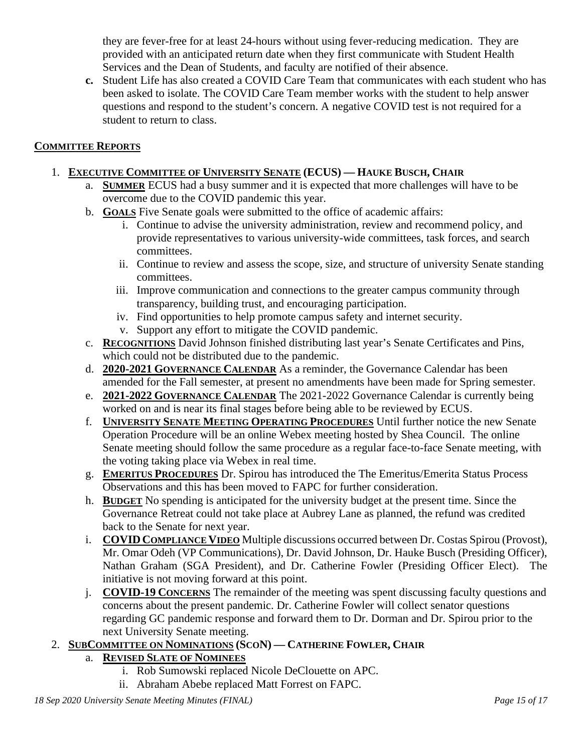they are fever-free for at least 24-hours without using fever-reducing medication. They are provided with an anticipated return date when they first communicate with Student Health Services and the Dean of Students, and faculty are notified of their absence.

**c.** Student Life has also created a COVID Care Team that communicates with each student who has been asked to isolate. The COVID Care Team member works with the student to help answer questions and respond to the student's concern. A negative COVID test is not required for a student to return to class.

## **COMMITTEE REPORTS**

#### 1. **EXECUTIVE COMMITTEE OF UNIVERSITY SENATE (ECUS) — HAUKE BUSCH, CHAIR**

- a. **SUMMER** ECUS had a busy summer and it is expected that more challenges will have to be overcome due to the COVID pandemic this year.
- b. **GOALS** Five Senate goals were submitted to the office of academic affairs:
	- i. Continue to advise the university administration, review and recommend policy, and provide representatives to various university-wide committees, task forces, and search committees.
	- ii. Continue to review and assess the scope, size, and structure of university Senate standing committees.
	- iii. Improve communication and connections to the greater campus community through transparency, building trust, and encouraging participation.
	- iv. Find opportunities to help promote campus safety and internet security.
	- v. Support any effort to mitigate the COVID pandemic.
- c. **RECOGNITIONS** David Johnson finished distributing last year's Senate Certificates and Pins, which could not be distributed due to the pandemic.
- d. **2020-2021 GOVERNANCE CALENDAR** As a reminder, the Governance Calendar has been amended for the Fall semester, at present no amendments have been made for Spring semester.
- e. **2021-2022 GOVERNANCE CALENDAR** The 2021-2022 Governance Calendar is currently being worked on and is near its final stages before being able to be reviewed by ECUS.
- f. **UNIVERSITY SENATE MEETING OPERATING PROCEDURES** Until further notice the new Senate Operation Procedure will be an online Webex meeting hosted by Shea Council. The online Senate meeting should follow the same procedure as a regular face-to-face Senate meeting, with the voting taking place via Webex in real time.
- g. **EMERITUS PROCEDURES** Dr. Spirou has introduced the The Emeritus/Emerita Status Process Observations and this has been moved to FAPC for further consideration.
- h. **BUDGET** No spending is anticipated for the university budget at the present time. Since the Governance Retreat could not take place at Aubrey Lane as planned, the refund was credited back to the Senate for next year.
- i. **COVID COMPLIANCE VIDEO** Multiple discussions occurred between Dr. Costas Spirou (Provost), Mr. Omar Odeh (VP Communications), Dr. David Johnson, Dr. Hauke Busch (Presiding Officer), Nathan Graham (SGA President), and Dr. Catherine Fowler (Presiding Officer Elect). The initiative is not moving forward at this point.
- j. **COVID-19 CONCERNS** The remainder of the meeting was spent discussing faculty questions and concerns about the present pandemic. Dr. Catherine Fowler will collect senator questions regarding GC pandemic response and forward them to Dr. Dorman and Dr. Spirou prior to the next University Senate meeting.

## 2. **SUBCOMMITTEE ON NOMINATIONS (SCON) — CATHERINE FOWLER, CHAIR**

# a. **REVISED SLATE OF NOMINEES**

- i. Rob Sumowski replaced Nicole DeClouette on APC.
- ii. Abraham Abebe replaced Matt Forrest on FAPC.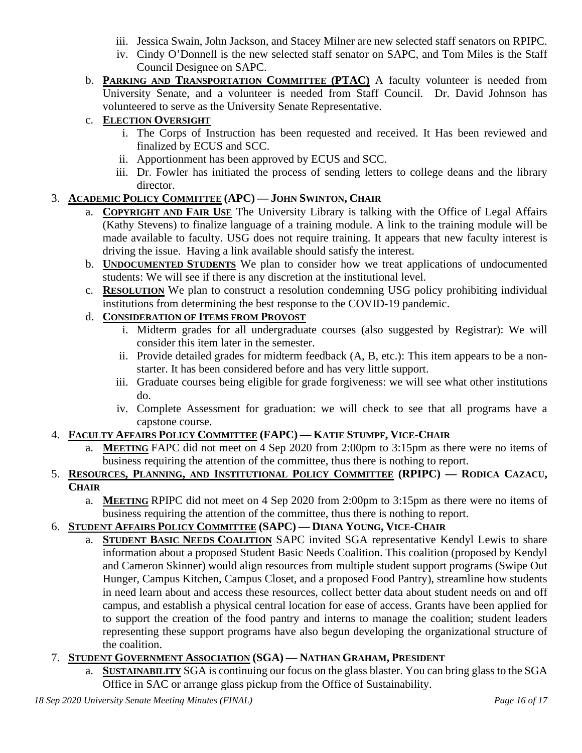- iii. Jessica Swain, John Jackson, and Stacey Milner are new selected staff senators on RPIPC.
- iv. Cindy O'Donnell is the new selected staff senator on SAPC, and Tom Miles is the Staff Council Designee on SAPC.
- b. **PARKING AND TRANSPORTATION COMMITTEE (PTAC)** A faculty volunteer is needed from University Senate, and a volunteer is needed from Staff Council. Dr. David Johnson has volunteered to serve as the University Senate Representative.

# c. **ELECTION OVERSIGHT**

- i. The Corps of Instruction has been requested and received. It Has been reviewed and finalized by ECUS and SCC.
- ii. Apportionment has been approved by ECUS and SCC.
- iii. Dr. Fowler has initiated the process of sending letters to college deans and the library director.

# 3. **ACADEMIC POLICY COMMITTEE (APC) — JOHN SWINTON, CHAIR**

- a. **COPYRIGHT AND FAIR USE** The University Library is talking with the Office of Legal Affairs (Kathy Stevens) to finalize language of a training module. A link to the training module will be made available to faculty. USG does not require training. It appears that new faculty interest is driving the issue. Having a link available should satisfy the interest.
- b. **UNDOCUMENTED STUDENTS** We plan to consider how we treat applications of undocumented students: We will see if there is any discretion at the institutional level.
- c. **RESOLUTION** We plan to construct a resolution condemning USG policy prohibiting individual institutions from determining the best response to the COVID-19 pandemic.

# d. **CONSIDERATION OF ITEMS FROM PROVOST**

- i. Midterm grades for all undergraduate courses (also suggested by Registrar): We will consider this item later in the semester.
- ii. Provide detailed grades for midterm feedback (A, B, etc.): This item appears to be a nonstarter. It has been considered before and has very little support.
- iii. Graduate courses being eligible for grade forgiveness: we will see what other institutions do.
- iv. Complete Assessment for graduation: we will check to see that all programs have a capstone course.

## 4. **FACULTY AFFAIRS POLICY COMMITTEE (FAPC) — KATIE STUMPF, VICE-CHAIR**

- a. **MEETING** FAPC did not meet on 4 Sep 2020 from 2:00pm to 3:15pm as there were no items of business requiring the attention of the committee, thus there is nothing to report.
- 5. **RESOURCES, PLANNING, AND INSTITUTIONAL POLICY COMMITTEE (RPIPC) — RODICA CAZACU, CHAIR**
	- a. **MEETING** RPIPC did not meet on 4 Sep 2020 from 2:00pm to 3:15pm as there were no items of business requiring the attention of the committee, thus there is nothing to report.

# 6. **STUDENT AFFAIRS POLICY COMMITTEE (SAPC) — DIANA YOUNG, VICE-CHAIR**

a. **STUDENT BASIC NEEDS COALITION** SAPC invited SGA representative Kendyl Lewis to share information about a proposed Student Basic Needs Coalition. This coalition (proposed by Kendyl and Cameron Skinner) would align resources from multiple student support programs (Swipe Out Hunger, Campus Kitchen, Campus Closet, and a proposed Food Pantry), streamline how students in need learn about and access these resources, collect better data about student needs on and off campus, and establish a physical central location for ease of access. Grants have been applied for to support the creation of the food pantry and interns to manage the coalition; student leaders representing these support programs have also begun developing the organizational structure of the coalition.

## 7. **STUDENT GOVERNMENT ASSOCIATION (SGA) — NATHAN GRAHAM, PRESIDENT**

a. **SUSTAINABILITY** SGA is continuing our focus on the glass blaster. You can bring glass to the SGA Office in SAC or arrange glass pickup from the Office of Sustainability.